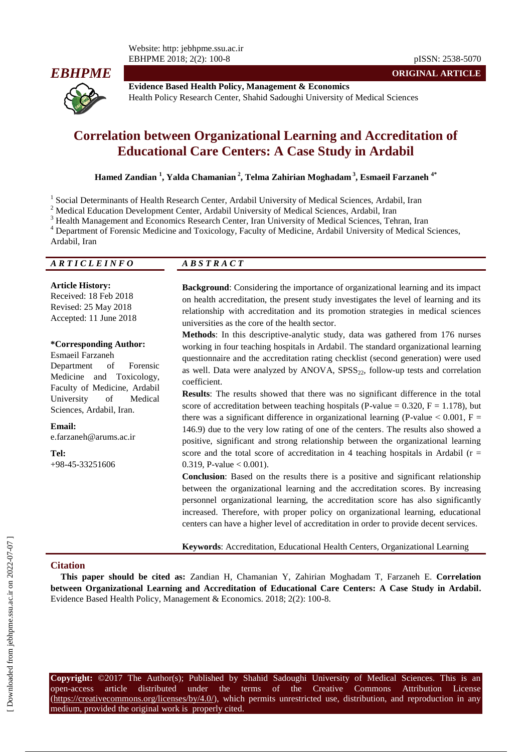

**ORIGINAL ARTICLE**

**Evidence Based Health Policy, Management & Economics** Health Policy Research Center, Shahid Sadoughi University of Medical Sciences

# **Correlation between Organizational Learning and Accreditation of Educational Care Centers: A Case Study in Ardabil**

**Hamed Zandian <sup>1</sup> , Yalda Chamanian <sup>2</sup> , Telma Zahirian Moghadam <sup>3</sup> , [Esmaeil Farzaneh](https://onlinelibrary.wiley.com/action/doSearch?ContribAuthorStored=Farzaneh%2C+Esmaeil) 4\***

<sup>1</sup> Social Determinants of Health Research Center, Ardabil University of Medical Sciences, Ardabil, Iran

<sup>2</sup> Medical Education Development Center, Ardabil University of Medical Sciences, Ardabil, Iran

<sup>3</sup> [Health Management and Economics Research Center, Iran University of Medical Sciences, Tehran, Iran](http://old.iums.ac.ir/?fkeyid=&siteid=205&fkeyid=&siteid=205&pageid=21139)

<sup>4</sup> Department of Forensic Medicine and Toxicology, Faculty of Medicine, Ardabil University of Medical Sciences,

Ardabil, Iran

*A R T I C L E I N F O A B S T R A C T*

#### **Article History:**

Received: 18 Feb 2018 Revised: 25 May 2018 Accepted: 11 June 2018

#### **\*Corresponding Author:**

[Esmaeil Farzaneh](https://onlinelibrary.wiley.com/action/doSearch?ContribAuthorStored=Farzaneh%2C+Esmaeil) Department of Forensic Medicine and Toxicology, Faculty of Medicine, Ardabil University of Medical Sciences, Ardabil, Iran.

**Email:** e.farzaneh@arums.ac.ir

**Tel:** +98-45-33251606

**Background**: Considering the importance of organizational learning and its impact on health accreditation, the present study investigates the level of learning and its relationship with accreditation and its promotion strategies in medical sciences universities as the core of the health sector.

**Methods**: In this descriptive-analytic study, data was gathered from 176 nurses working in four teaching hospitals in Ardabil. The standard organizational learning questionnaire and the accreditation rating checklist (second generation) were used as well. Data were analyzed by ANOVA,  $SPSS<sub>22</sub>$ , follow-up tests and correlation coefficient.

**Results**: The results showed that there was no significant difference in the total score of accreditation between teaching hospitals (P-value =  $0.320$ , F = 1.178), but there was a significant difference in organizational learning (P-value  $\leq 0.001$ , F = 146.9) due to the very low rating of one of the centers. The results also showed a positive, significant and strong relationship between the organizational learning score and the total score of accreditation in 4 teaching hospitals in Ardabil ( $r =$ 0.319, P-value  $< 0.001$ ).

**Conclusion**: Based on the results there is a positive and significant relationship between the organizational learning and the accreditation scores. By increasing personnel organizational learning, the accreditation score has also significantly increased. Therefore, with proper policy on organizational learning, educational centers can have a higher level of accreditation in order to provide decent services.

**Keywords**: Accreditation, Educational Health Centers, Organizational Learning

### **Citation**

**This paper should be cited as:** Zandian H, Chamanian Y, Zahirian Moghadam T, [Farzaneh](https://onlinelibrary.wiley.com/action/doSearch?ContribAuthorStored=Farzaneh%2C+Esmaeil) E. **Correlation between Organizational Learning and Accreditation of Educational Care Centers: A Case Study in Ardabil.**  Evidence Based Health Policy, Management & Economics. 2018; 2(2): 100-8.

**Copyright:** ©2017 The Author(s); Published by Shahid Sadoughi University of Medical Sciences. This is an open-access article distributed under the terms of the Creative Commons Attribution License (https://creativecommons.org/licenses/by/4.0/), which permits unrestricted use, distribution, and reproduction in any medium, provided the original work is properly cited.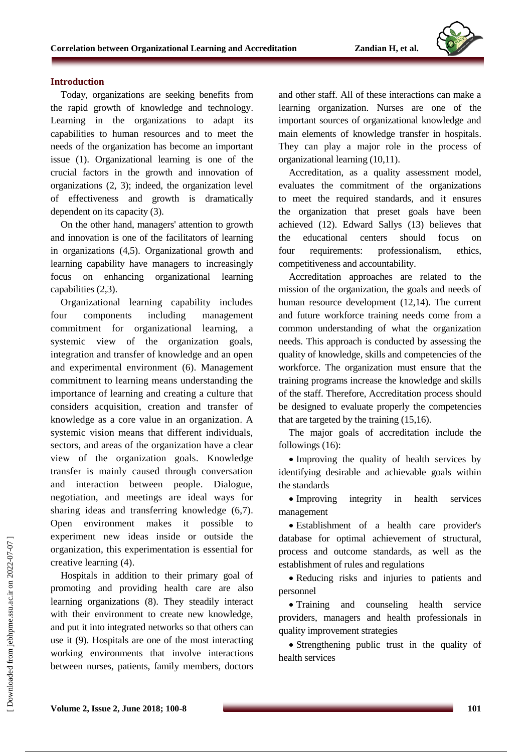

#### **Introduction**

Today, organizations are seeking benefits from the rapid growth of knowledge and technology. Learning in the organizations to adapt its capabilities to human resources and to meet the needs of the organization has become an important issue (1). Organizational learning is one of the crucial factors in the growth and innovation of organizations (2, 3); indeed, the organization level of effectiveness and growth is dramatically dependent on its capacity (3).

On the other hand, managers' attention to growth and innovation is one of the facilitators of learning in organizations (4,5). Organizational growth and learning capability have managers to increasingly focus on enhancing organizational learning capabilities (2,3).

Organizational learning capability includes four components including management commitment for organizational learning, a systemic view of the organization goals, integration and transfer of knowledge and an open and experimental environment (6). Management commitment to learning means understanding the importance of learning and creating a culture that considers acquisition, creation and transfer of knowledge as a core value in an organization. A systemic vision means that different individuals, sectors, and areas of the organization have a clear view of the organization goals. Knowledge transfer is mainly caused through conversation and interaction between people. Dialogue, negotiation, and meetings are ideal ways for sharing ideas and transferring knowledge (6,7). Open environment makes it possible to experiment new ideas inside or outside the organization, this experimentation is essential for creative learning (4).

Hospitals in addition to their primary goal of promoting and providing health care are also learning organizations (8). They steadily interact with their environment to create new knowledge, and put it into integrated networks so that others can use it (9). Hospitals are one of the most interacting working environments that involve interactions between nurses, patients, family members, doctors

and other staff. All of these interactions can make a learning organization. Nurses are one of the important sources of organizational knowledge and main elements of knowledge transfer in hospitals. They can play a major role in the process of organizational learning (10,11).

Accreditation, as a quality assessment model, evaluates the commitment of the organizations to meet the required standards, and it ensures the organization that preset goals have been achieved (12). Edward Sallys (13) believes that the educational centers should focus on four requirements: professionalism, ethics, competitiveness and accountability.

Accreditation approaches are related to the mission of the organization, the goals and needs of human resource development (12,14). The current and future workforce training needs come from a common understanding of what the organization needs. This approach is conducted by assessing the quality of knowledge, skills and competencies of the workforce. The organization must ensure that the training programs increase the knowledge and skills of the staff. Therefore, Accreditation process should be designed to evaluate properly the competencies that are targeted by the training (15,16).

The major goals of accreditation include the followings (16):

• Improving the quality of health services by identifying desirable and achievable goals within the standards

• Improving integrity in health services management

 Establishment of a health care provider's database for optimal achievement of structural, process and outcome standards, as well as the establishment of rules and regulations

 Reducing risks and injuries to patients and personnel

• Training and counseling health service providers, managers and health professionals in quality improvement strategies

 Strengthening public trust in the quality of health services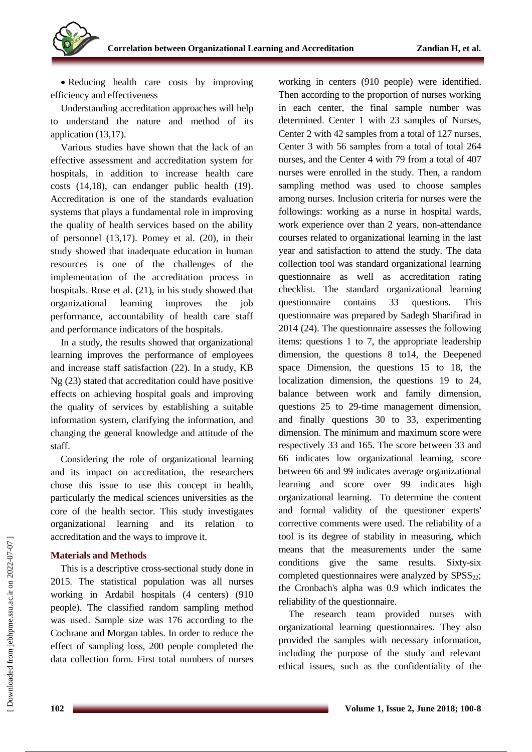

• Reducing health care costs by improving efficiency and effectiveness

Understanding accreditation approaches will help to understand the nature and method of its application (13,17).

Various studies have shown that the lack of an effective assessment and accreditation system for hospitals, in addition to increase health care costs (14,18), can endanger public health (19). Accreditation is one of the standards evaluation systems that plays a fundamental role in improving the quality of health services based on the ability of personnel (13,17). Pomey et al. (20), in their study showed that inadequate education in human resources is one of the challenges of the implementation of the accreditation process in hospitals. Rose et al. (21), in his study showed that organizational learning improves the job performance, accountability of health care staff and performance indicators of the hospitals.

In a study, the results showed that organizational learning improves the performance of employees and increase staff satisfaction (22). In a study, KB Ng (23) stated that accreditation could have positive effects on achieving hospital goals and improving the quality of services by establishing a suitable information system, clarifying the information, and changing the general knowledge and attitude of the staff.

Considering the role of organizational learning and its impact on accreditation, the researchers chose this issue to use this concept in health, particularly the medical sciences universities as the core of the health sector. This study investigates organizational learning and its relation to accreditation and the ways to improve it.

### **Materials and Methods**

This is a descriptive cross-sectional study done in 2015. The statistical population was all nurses working in Ardabil hospitals (4 centers) (910 people). The classified random sampling method was used. Sample size was 176 according to the Cochrane and Morgan tables. In order to reduce the effect of sampling loss, 200 people completed the data collection form. First total numbers of nurses working in centers (910 people) were identified. Then according to the proportion of nurses working in each center, the final sample number was determined. Center 1 with 23 samples of Nurses, Center 2 with 42 samples from a total of 127 nurses, Center 3 with 56 samples from a total of total 264 nurses, and the Center 4 with 79 from a total of 407 nurses were enrolled in the study. Then, a random sampling method was used to choose samples among nurses. Inclusion criteria for nurses were the followings: working as a nurse in hospital wards, work experience over than 2 years, non-attendance courses related to organizational learning in the last year and satisfaction to attend the study. The data collection tool was standard organizational learning questionnaire as well as accreditation rating checklist. The standard organizational learning questionnaire contains 33 questions. This questionnaire was prepared by Sadegh Sharifirad in 2014 (24). The questionnaire assesses the following items: questions 1 to 7, the appropriate leadership dimension, the questions 8 to14, the Deepened space Dimension, the questions 15 to 18, the localization dimension, the questions 19 to 24, balance between work and family dimension, questions 25 to 29-time management dimension, and finally questions 30 to 33, experimenting dimension. The minimum and maximum score were respectively 33 and 165. The score between 33 and 66 indicates low organizational learning, score between 66 and 99 indicates average organizational learning and score over 99 indicates high organizational learning. To determine the content and formal validity of the questioner experts' corrective comments were used. The reliability of a tool is its degree of stability in measuring, which means that the measurements under the same conditions give the same results. Sixty-six completed questionnaires were analyzed by  $SPSS_{22}$ ; the Cronbach's alpha was 0.9 which indicates the reliability of the questionnaire.

The research team provided nurses with organizational learning questionnaires. They also provided the samples with necessary information, including the purpose of the study and relevant ethical issues, such as the confidentiality of the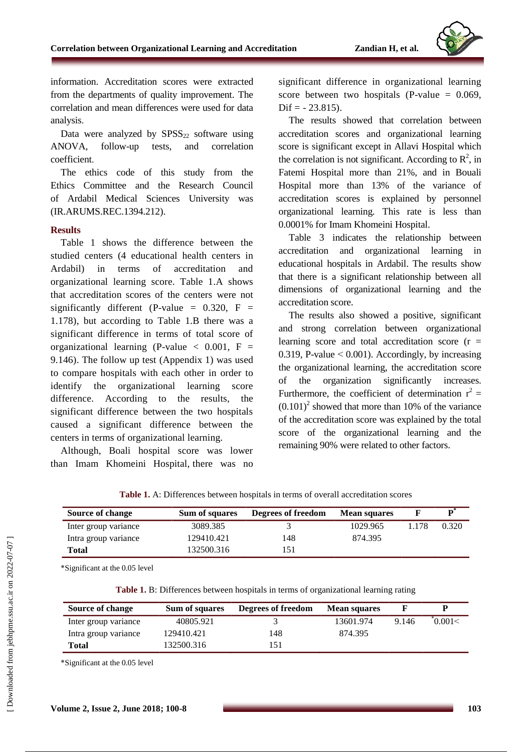

information. Accreditation scores were extracted from the departments of quality improvement. The correlation and mean differences were used for data analysis.

Data were analyzed by  $SPSS<sub>22</sub>$  software using ANOVA, follow-up tests, and correlation coefficient.

The ethics code of this study from the Ethics Committee and the Research Council of Ardabil Medical Sciences University was (IR.ARUMS.REC.1394.212).

#### **Results**

Table 1 shows the difference between the studied centers (4 educational health centers in Ardabil) in terms of accreditation and organizational learning score. Table 1.A shows that accreditation scores of the centers were not significantly different (P-value =  $0.320$ , F = 1.178), but according to Table 1.B there was a significant difference in terms of total score of organizational learning (P-value  $< 0.001$ , F = 9.146). The follow up test (Appendix 1) was used to compare hospitals with each other in order to identify the organizational learning score difference. According to the results, the significant difference between the two hospitals caused a significant difference between the centers in terms of organizational learning.

Although, Boali hospital score was lower than Imam Khomeini Hospital, there was no significant difference in organizational learning score between two hospitals (P-value  $= 0.069$ ,  $\text{Dif} = -23.815$ .

The results showed that correlation between accreditation scores and organizational learning score is significant except in Allavi Hospital which the correlation is not significant. According to  $\mathbb{R}^2$ , in Fatemi Hospital more than 21%, and in Bouali Hospital more than 13% of the variance of accreditation scores is explained by personnel organizational learning. This rate is less than 0.0001% for Imam Khomeini Hospital.

Table 3 indicates the relationship between accreditation and organizational learning in educational hospitals in Ardabil. The results show that there is a significant relationship between all dimensions of organizational learning and the accreditation score.

The results also showed a positive, significant and strong correlation between organizational learning score and total accreditation score  $(r =$ 0.319, P-value  $< 0.001$ ). Accordingly, by increasing the organizational learning, the accreditation score of the organization significantly increases. Furthermore, the coefficient of determination  $r^2 =$  $(0.101)^2$  showed that more than 10% of the variance of the accreditation score was explained by the total score of the organizational learning and the remaining 90% were related to other factors.

| <b>Table 1.</b> A: Differences between hospitals in terms of overall accreditation scores |
|-------------------------------------------------------------------------------------------|
|-------------------------------------------------------------------------------------------|

| Source of change     | Sum of squares | Degrees of freedom | <b>Mean squares</b> |       |       |
|----------------------|----------------|--------------------|---------------------|-------|-------|
| Inter group variance | 3089.385       |                    | 1029.965            | . 178 | 0.320 |
| Intra group variance | 129410.421     | 148                | 874.395             |       |       |
| Total                | 132500.316     | l 51               |                     |       |       |

\*Significant at the 0.05 level

**Table 1.** B: Differences between hospitals in terms of organizational learning rating

| Source of change     | Sum of squares | Degrees of freedom | <b>Mean squares</b> |       |        |
|----------------------|----------------|--------------------|---------------------|-------|--------|
| Inter group variance | 40805.921      |                    | 13601.974           | 9.146 | 0.001< |
| Intra group variance | 129410.421     | 148                | 874.395             |       |        |
| Total                | 132500.316     | 151                |                     |       |        |

\*Significant at the 0.05 level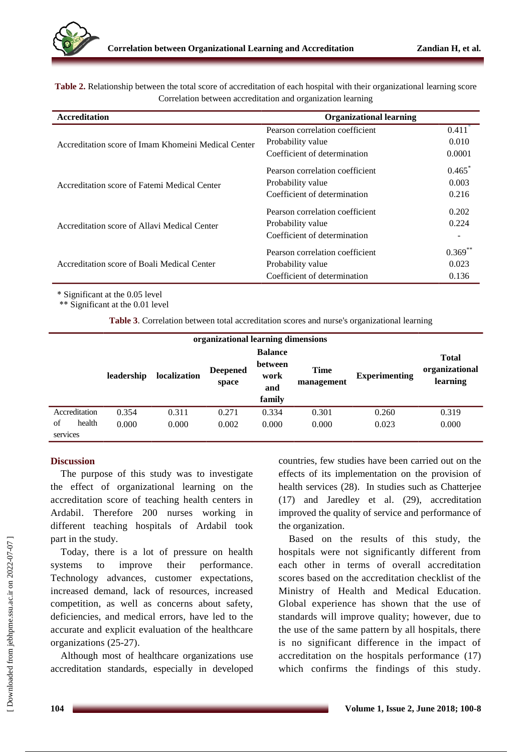**Table 2.** Relationship between the total score of accreditation of each hospital with their organizational learning score Correlation between accreditation and organization learning

| <b>Accreditation</b>                                | <b>Organizational learning</b>  |                      |
|-----------------------------------------------------|---------------------------------|----------------------|
|                                                     | Pearson correlation coefficient | $0.411$ <sup>*</sup> |
| Accreditation score of Imam Khomeini Medical Center | Probability value               | 0.010                |
|                                                     | Coefficient of determination    | 0.0001               |
|                                                     | Pearson correlation coefficient | $0.465^*$            |
| Accreditation score of Fatemi Medical Center        | Probability value               | 0.003                |
|                                                     | Coefficient of determination    | 0.216                |
|                                                     | Pearson correlation coefficient | 0.202                |
| Accreditation score of Allavi Medical Center        | Probability value               | 0.224                |
|                                                     | Coefficient of determination    |                      |
|                                                     | Pearson correlation coefficient | $0.369^{r}$          |
| Accreditation score of Boali Medical Center         | Probability value               | 0.023                |
|                                                     | Coefficient of determination    | 0.136                |

\* Significant at the 0.05 level

\*\* Significant at the 0.01 level

**Table 3**. Correlation between total accreditation scores and nurse's organizational learning

| organizational learning dimensions<br><b>Deepened</b><br>leadership<br>localization<br>space |               | <b>Balance</b><br>between<br>work<br>and<br>family | <b>Time</b><br>management | <b>Experimenting</b> | <b>Total</b><br>organizational<br>learning |       |       |       |
|----------------------------------------------------------------------------------------------|---------------|----------------------------------------------------|---------------------------|----------------------|--------------------------------------------|-------|-------|-------|
|                                                                                              | Accreditation | 0.354                                              | 0.311                     | 0.271                | 0.334                                      | 0.301 | 0.260 | 0.319 |
| of                                                                                           | health        | 0.000                                              | 0.000                     | 0.002                | 0.000                                      | 0.000 | 0.023 | 0.000 |
| services                                                                                     |               |                                                    |                           |                      |                                            |       |       |       |

### **Discussion**

The purpose of this study was to investigate the effect of organizational learning on the accreditation score of teaching health centers in Ardabil. Therefore 200 nurses working in different teaching hospitals of Ardabil took part in the study.

Today, there is a lot of pressure on health systems to improve their performance. Technology advances, customer expectations, increased demand, lack of resources, increased competition, as well as concerns about safety, deficiencies, and medical errors, have led to the accurate and explicit evaluation of the healthcare organizations (25-27).

Although most of healthcare organizations use accreditation standards, especially in developed

countries, few studies have been carried out on the effects of its implementation on the provision of health services (28). In studies such as Chatterjee (17) and Jaredley et al. (29), accreditation improved the quality of service and performance of the organization.

Based on the results of this study, the hospitals were not significantly different from each other in terms of overall accreditation scores based on the accreditation checklist of the Ministry of Health and Medical Education. Global experience has shown that the use of standards will improve quality; however, due to the use of the same pattern by all hospitals, there is no significant difference in the impact of accreditation on the hospitals performance (17) which confirms the findings of this study.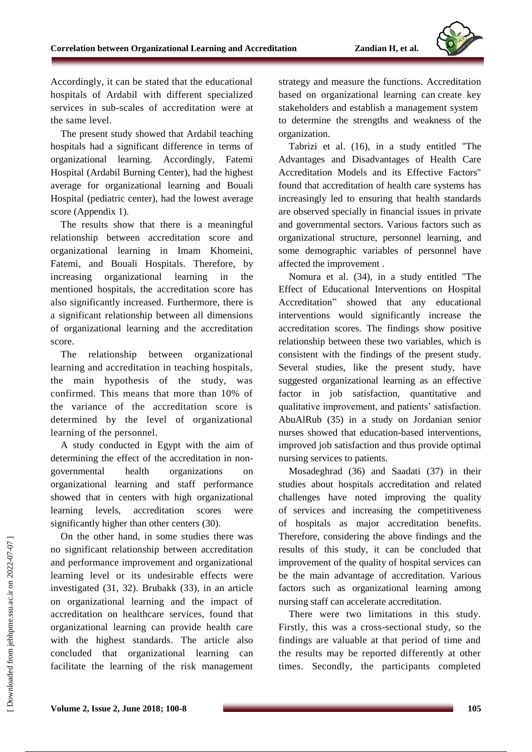

Accordingly, it can be stated that the educational hospitals of Ardabil with different specialized services in sub-scales of accreditation were at the same level.

The present study showed that Ardabil teaching hospitals had a significant difference in terms of organizational learning. Accordingly, Fatemi Hospital (Ardabil Burning Center), had the highest average for organizational learning and Bouali Hospital (pediatric center), had the lowest average score (Appendix 1).

The results show that there is a meaningful relationship between accreditation score and organizational learning in Imam Khomeini, Fatemi, and Bouali Hospitals. Therefore, by increasing organizational learning in the mentioned hospitals, the accreditation score has also significantly increased. Furthermore, there is a significant relationship between all dimensions of organizational learning and the accreditation score.

The relationship between organizational learning and accreditation in teaching hospitals, the main hypothesis of the study, was confirmed. This means that more than 10% of the variance of the accreditation score is determined by the level of organizational learning of the personnel.

A study conducted in Egypt with the aim of determining the effect of the accreditation in nongovernmental health organizations on organizational learning and staff performance showed that in centers with high organizational learning levels, accreditation scores were significantly higher than other centers (30).

On the other hand, in some studies there was no significant relationship between accreditation and performance improvement and organizational learning level or its undesirable effects were investigated (31, 32). Brubakk (33), in an article on organizational learning and the impact of accreditation on healthcare services, found that organizational learning can provide health care with the highest standards. The article also concluded that organizational learning can facilitate the learning of the risk management strategy and measure the functions. Accreditation based on organizational learning can create key stakeholders and establish a management system to determine the strengths and weakness of the organization.

Tabrizi et al. (16), in a study entitled "The Advantages and Disadvantages of Health Care Accreditation Models and its Effective Factors" found that accreditation of health care systems has increasingly led to ensuring that health standards are observed specially in financial issues in private and governmental sectors. Various factors such as organizational structure, personnel learning, and some demographic variables of personnel have affected the improvement .

Nomura et al. (34), in a study entitled "The Effect of Educational Interventions on Hospital Accreditation" showed that any educational interventions would significantly increase the accreditation scores. The findings show positive relationship between these two variables, which is consistent with the findings of the present study. Several studies, like the present study, have suggested organizational learning as an effective factor in job satisfaction, quantitative and qualitative improvement, and patients' satisfaction. AbuAlRub (35) in a study on Jordanian senior nurses showed that education-based interventions, improved job satisfaction and thus provide optimal nursing services to patients.

Mosadeghrad (36) and Saadati (37) in their studies about hospitals accreditation and related challenges have noted improving the quality of services and increasing the competitiveness of hospitals as major accreditation benefits. Therefore, considering the above findings and the results of this study, it can be concluded that improvement of the quality of hospital services can be the main advantage of accreditation. Various factors such as organizational learning among nursing staff can accelerate accreditation.

There were two limitations in this study. Firstly, this was a cross-sectional study, so the findings are valuable at that period of time and the results may be reported differently at other times. Secondly, the participants completed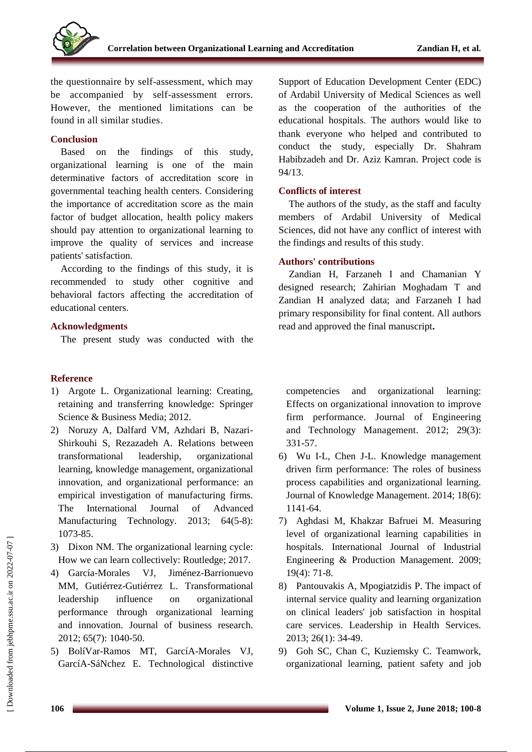the questionnaire by self-assessment, which may be accompanied by self-assessment errors. However, the mentioned limitations can be found in all similar studies.

# **Conclusion**

Based on the findings of this study, organizational learning is one of the main determinative factors of accreditation score in governmental teaching health centers. Considering the importance of accreditation score as the main factor of budget allocation, health policy makers should pay attention to organizational learning to improve the quality of services and increase patients' satisfaction.

According to the findings of this study, it is recommended to study other cognitive and behavioral factors affecting the accreditation of educational centers.

# **Acknowledgments**

The present study was conducted with the

# **Reference**

- 1) Argote L. Organizational learning: Creating, retaining and transferring knowledge: Springer Science & Business Media; 2012.
- 2) Noruzy A, Dalfard VM, Azhdari B, Nazari-Shirkouhi S, Rezazadeh A. Relations between transformational leadership, organizational learning, knowledge management, organizational innovation, and organizational performance: an empirical investigation of manufacturing firms. The International Journal of Advanced Manufacturing Technology. 2013; 64(5-8): 1073-85.
- 3) Dixon NM. The organizational learning cycle: How we can learn collectively: Routledge; 2017.
- 4) García-Morales VJ, Jiménez-Barrionuevo MM, Gutiérrez-Gutiérrez L. Transformational leadership influence on organizational performance through organizational learning and innovation. Journal of business research. 2012; 65(7): 1040-50.
- 5) BolíVar-Ramos MT, GarcíA-Morales VJ, GarcíA-SáNchez E. Technological distinctive

Support of Education Development Center (EDC) of Ardabil University of Medical Sciences as well as the cooperation of the authorities of the educational hospitals. The authors would like to thank everyone who helped and contributed to conduct the study, especially Dr. Shahram Habibzadeh and Dr. Aziz Kamran. Project code is 94/13.

# **Conflicts of interest**

The authors of the study, as the staff and faculty members of Ardabil University of Medical Sciences, did not have any conflict of interest with the findings and results of this study.

# **Authors' contributions**

Zandian H, Farzaneh I and Chamanian Y designed research; Zahirian Moghadam T and Zandian H analyzed data; and Farzaneh I had primary responsibility for final content. All authors read and approved the final manuscript**.**

competencies and organizational learning: Effects on organizational innovation to improve firm performance. Journal of Engineering and Technology Management. 2012; 29(3): 331-57.

- 6) Wu I-L, Chen J-L. Knowledge management driven firm performance: The roles of business process capabilities and organizational learning. Journal of Knowledge Management. 2014; 18(6): 1141-64.
- 7) Aghdasi M, Khakzar Bafruei M. Measuring level of organizational learning capabilities in hospitals. International Journal of Industrial Engineering & Production Management. 2009; 19(4): 71-8.
- 8) Pantouvakis A, Mpogiatzidis P. The impact of internal service quality and learning organization on clinical leaders' job satisfaction in hospital care services. Leadership in Health Services. 2013; 26(1): 34-49.
- 9) Goh SC, Chan C, Kuziemsky C. Teamwork, organizational learning, patient safety and job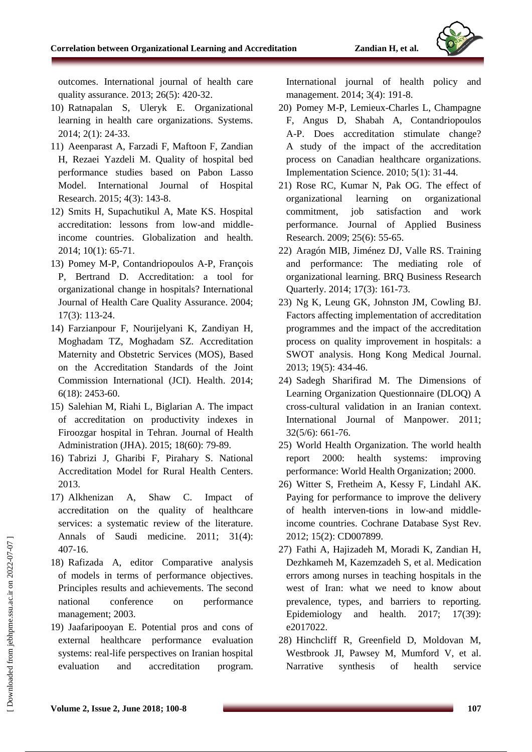

outcomes. International journal of health care quality assurance. 2013; 26(5): 420-32.

- 10) Ratnapalan S, Uleryk E. Organizational learning in health care organizations. Systems. 2014; 2(1): 24-33.
- 11) Aeenparast A, Farzadi F, Maftoon F, Zandian H, Rezaei Yazdeli M. Quality of hospital bed performance studies based on Pabon Lasso Model. International Journal of Hospital Research. 2015; 4(3): 143-8.
- 12) Smits H, Supachutikul A, Mate KS. Hospital accreditation: lessons from low-and middleincome countries. Globalization and health. 2014; 10(1): 65-71.
- 13) Pomey M-P, Contandriopoulos A-P, François P, Bertrand D. Accreditation: a tool for organizational change in hospitals? International Journal of Health Care Quality Assurance. 2004; 17(3): 113-24.
- 14) Farzianpour F, Nourijelyani K, Zandiyan H, Moghadam TZ, Moghadam SZ. Accreditation Maternity and Obstetric Services (MOS), Based on the Accreditation Standards of the Joint Commission International (JCI). Health. 2014; 6(18): 2453-60.
- 15) Salehian M, Riahi L, Biglarian A. The impact of accreditation on productivity indexes in Firoozgar hospital in Tehran. Journal of Health Administration (JHA). 2015; 18(60): 79-89.
- 16) Tabrizi J, Gharibi F, Pirahary S. National Accreditation Model for Rural Health Centers. 2013.
- 17) Alkhenizan A, Shaw C. Impact of accreditation on the quality of healthcare services: a systematic review of the literature. Annals of Saudi medicine. 2011; 31(4): 407-16.
- 18) Rafizada A, editor Comparative analysis of models in terms of performance objectives. Principles results and achievements. The second national conference on performance management; 2003.
- 19) Jaafaripooyan E. Potential pros and cons of external healthcare performance evaluation systems: real-life perspectives on Iranian hospital evaluation and accreditation program.

International journal of health policy and management. 2014; 3(4): 191-8.

- 20) Pomey M-P, Lemieux-Charles L, Champagne F, Angus D, Shabah A, Contandriopoulos A-P. Does accreditation stimulate change? A study of the impact of the accreditation process on Canadian healthcare organizations. Implementation Science. 2010; 5(1): 31-44.
- 21) Rose RC, Kumar N, Pak OG. The effect of organizational learning on organizational commitment, job satisfaction and work performance. Journal of Applied Business Research. 2009; 25(6): 55-65.
- 22) Aragón MIB, Jiménez DJ, Valle RS. Training and performance: The mediating role of organizational learning. BRQ Business Research Quarterly. 2014; 17(3): 161-73.
- 23) Ng K, Leung GK, Johnston JM, Cowling BJ. Factors affecting implementation of accreditation programmes and the impact of the accreditation process on quality improvement in hospitals: a SWOT analysis. Hong Kong Medical Journal. 2013; 19(5): 434-46.
- 24) Sadegh Sharifirad M. The Dimensions of Learning Organization Questionnaire (DLOQ) A cross-cultural validation in an Iranian context. International Journal of Manpower. 2011; 32(5/6): 661-76.
- 25) World Health Organization. The world health report 2000: health systems: improving performance: World Health Organization; 2000.
- 26) Witter S, Fretheim A, Kessy F, Lindahl AK. Paying for performance to improve the delivery of health interven-tions in low-and middleincome countries. Cochrane Database Syst Rev. 2012; 15(2): CD007899.
- 27) Fathi A, Hajizadeh M, Moradi K, Zandian H, Dezhkameh M, Kazemzadeh S, et al. Medication errors among nurses in teaching hospitals in the west of Iran: what we need to know about prevalence, types, and barriers to reporting. Epidemiology and health. 2017; 17(39): e2017022.
- 28) Hinchcliff R, Greenfield D, Moldovan M, Westbrook JI, Pawsey M, Mumford V, et al. Narrative synthesis of health service